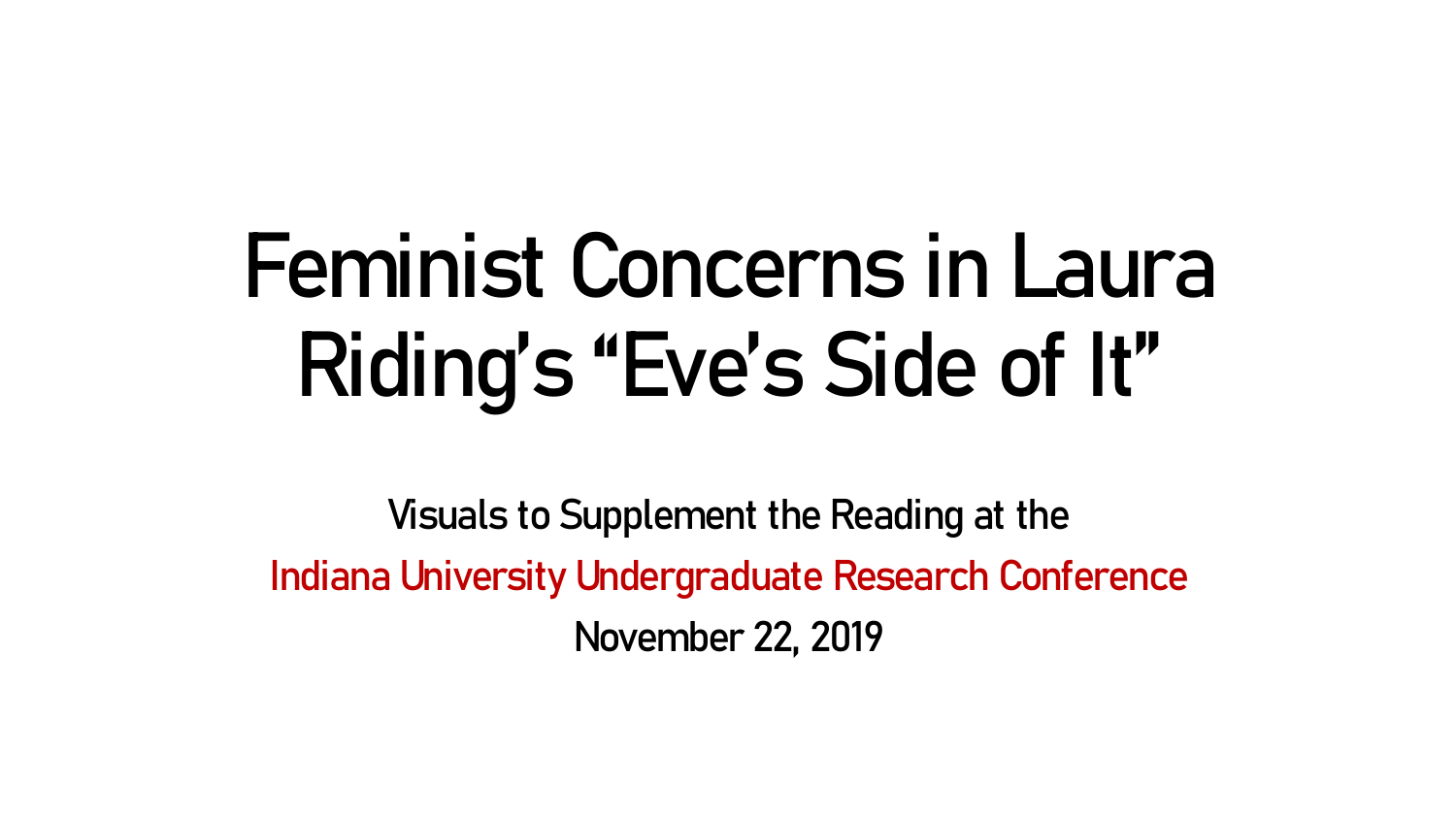# **Feminist Concerns in Laura Riding's "Eve's Side of It"**

Visuals to Supplement the Reading at the Indiana University Undergraduate Research Conference November 22, 2019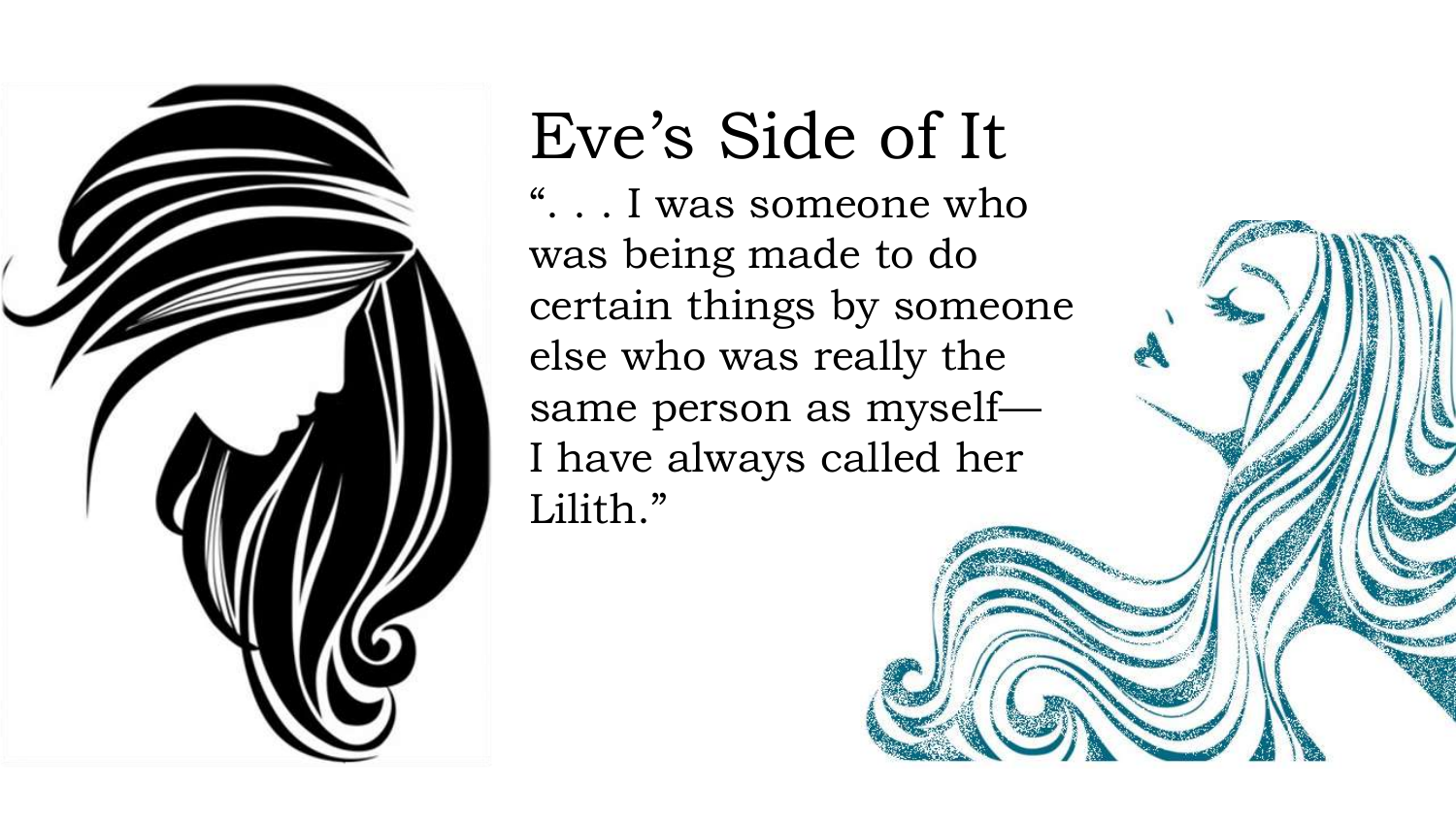

## Eve's Side of It

". . . I was someone who was being made to do certain things by someone else who was really the same person as myself— I have always called her Lilith."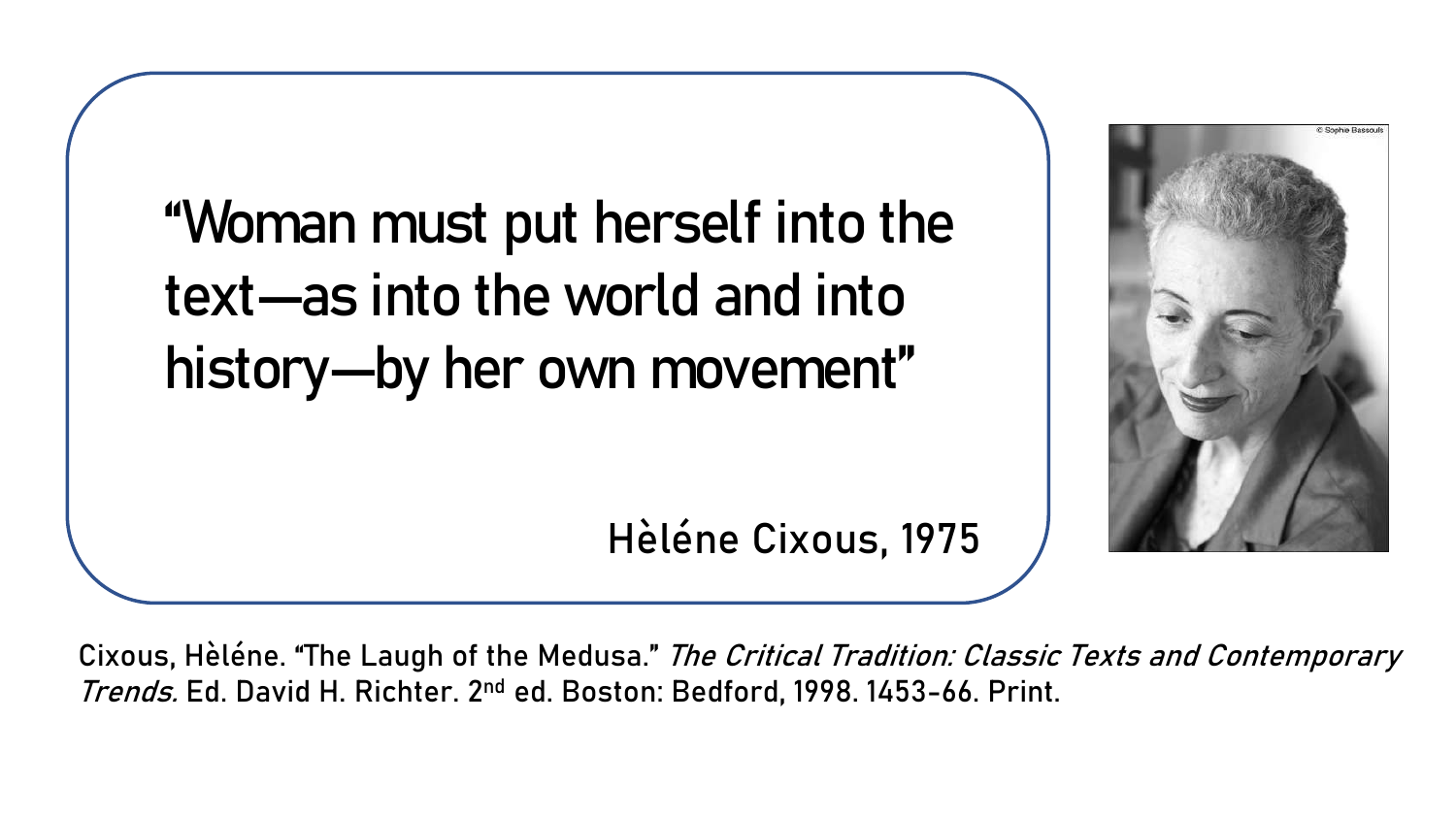"Woman must put herself into the text—as into the world and into history—by her own movement"



Hèléne Cixous, 1975

Cixous, Hèléne. "The Laugh of the Medusa." The Critical Tradition: Classic Texts and Contemporary Trends. Ed. David H. Richter. 2<sup>nd</sup> ed. Boston: Bedford, 1998. 1453-66. Print.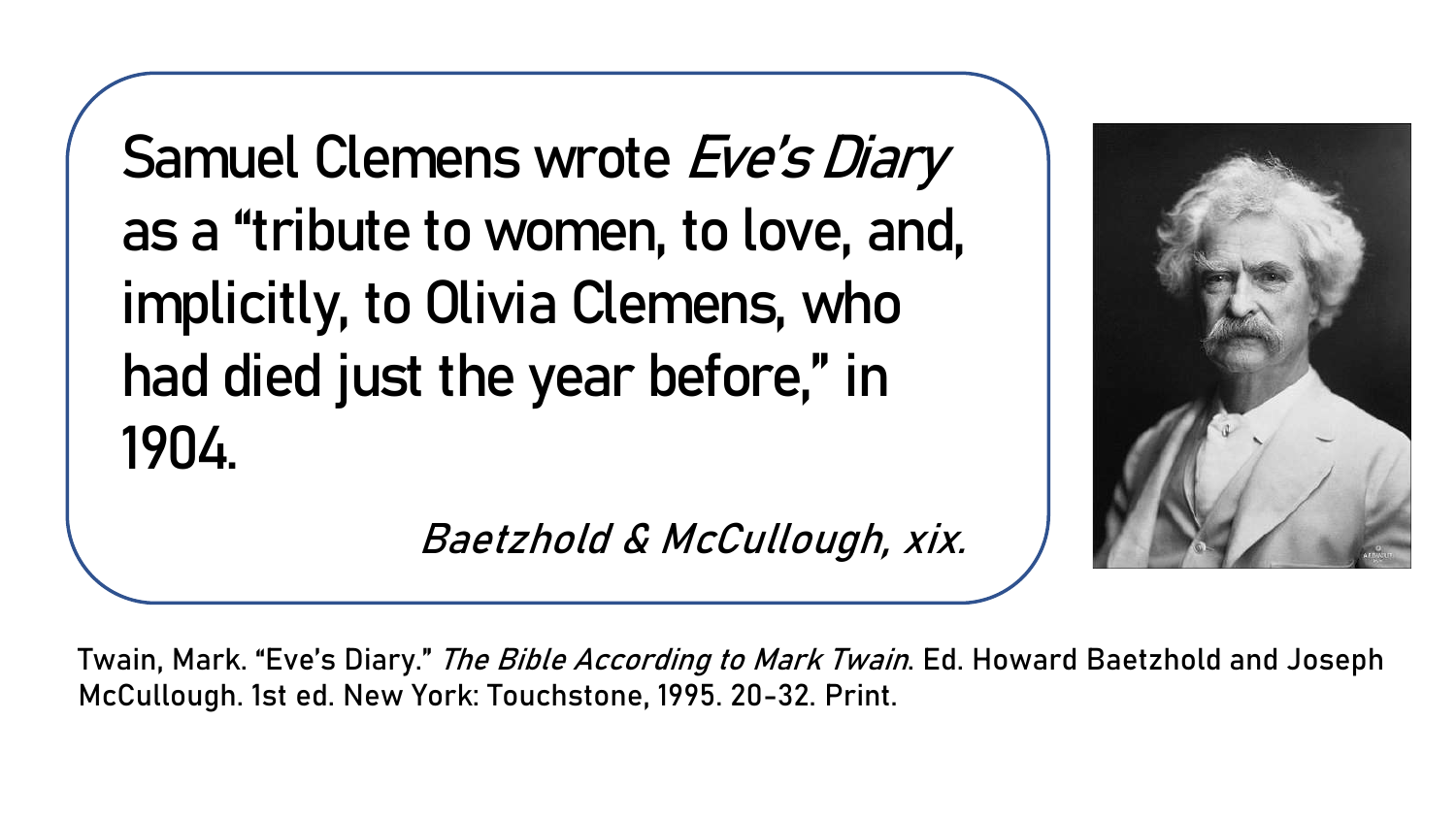Samuel Clemens wrote Eve's Diary as a "tribute to women, to love, and, implicitly, to Olivia Clemens, who had died just the year before," in 1904.

Baetzhold & McCullough, xix.



Twain, Mark. "Eve's Diary." *The Bible According to Mark Twain*. Ed. Howard Baetzhold and Joseph McCullough. 1st ed. New York: Touchstone, 1995. 20-32. Print.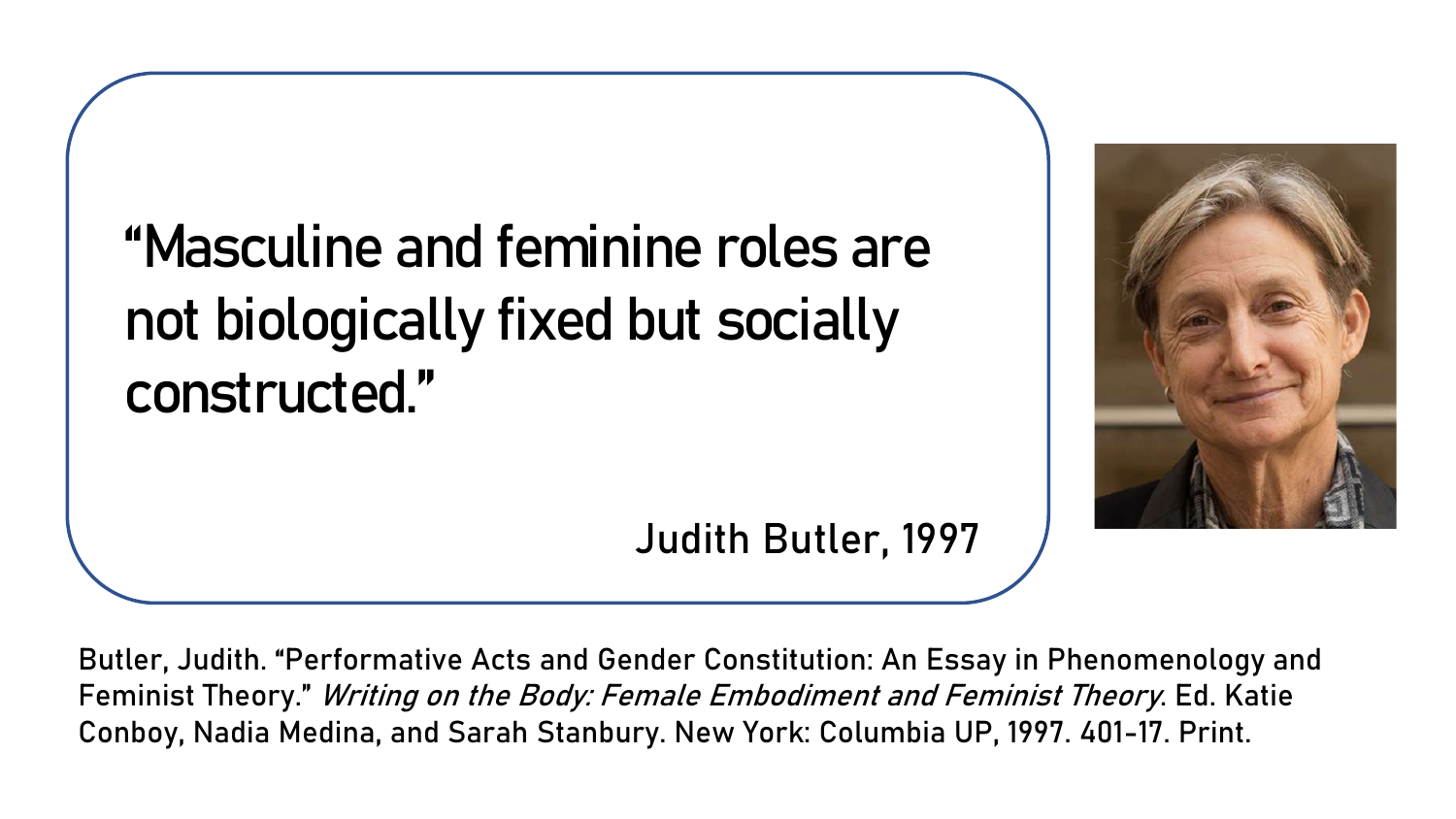"Masculine and feminine roles are not biologically fixed but socially constructed."



Judith Butler, 1997

Butler, Judith. "Performative Acts and Gender Constitution: An Essay in Phenomenology and Feminist Theory." Writing on the Body: Female Embodiment and Feminist Theory. Ed. Katie Conboy, Nadia Medina, and Sarah Stanbury. New York: Columbia UP, 1997. 401-17. Print.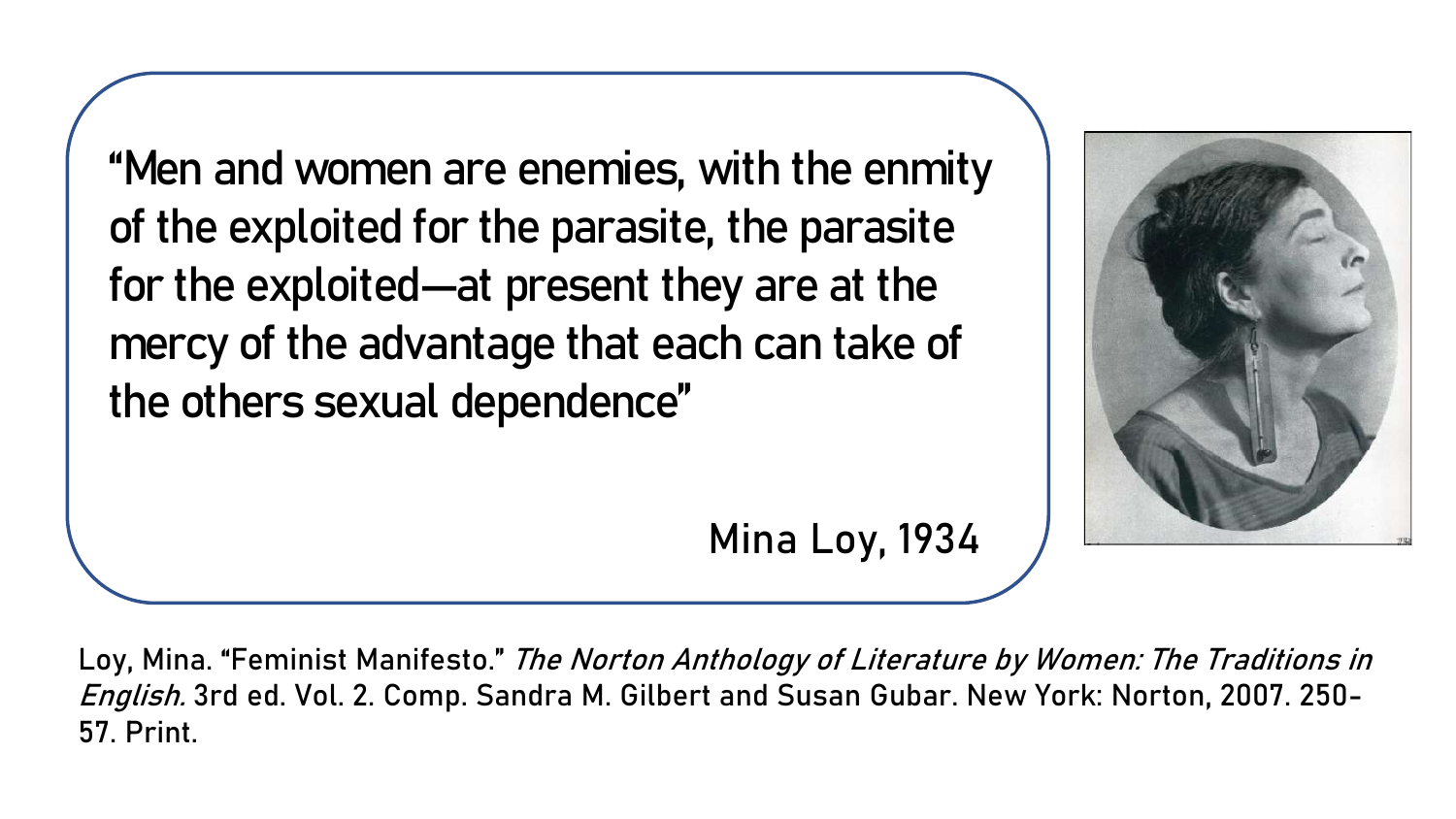"Men and women are enemies, with the enmity of the exploited for the parasite, the parasite for the exploited—at present they are at the mercy of the advantage that each can take of the others sexual dependence"

Mina Loy, 1934



Loy, Mina. "Feminist Manifesto." The Norton Anthology of Literature by Women: The Traditions in English. 3rd ed. Vol. 2. Comp. Sandra M. Gilbert and Susan Gubar. New York: Norton, 2007. 250-57. Print.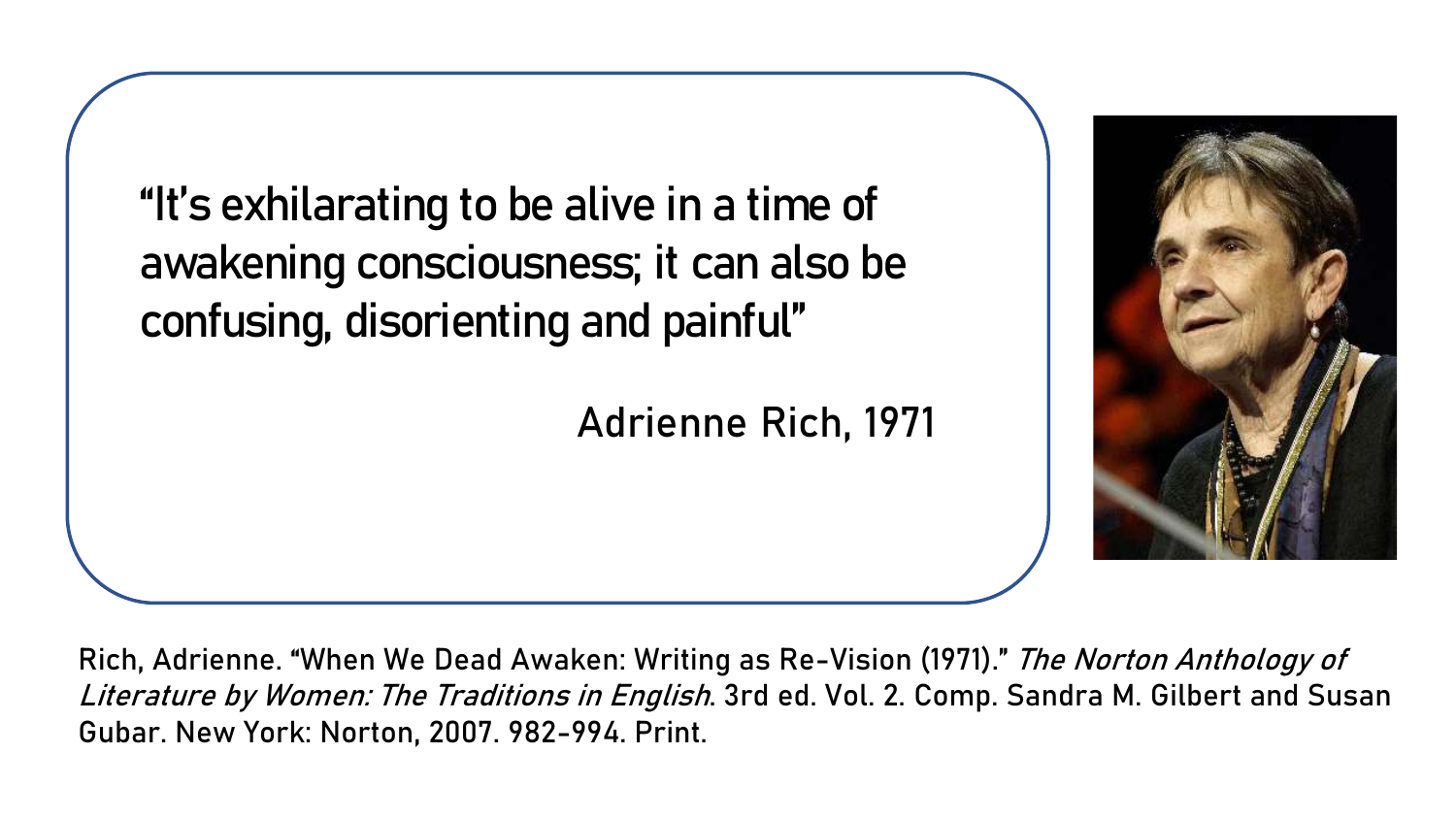```
"It's exhilarating to be alive in a time of 
awakening consciousness; it can also be 
confusing, disorienting and painful" 
                        Adrienne Rich, 1971
```


Rich, Adrienne. "When We Dead Awaken: Writing as Re-Vision (1971)." *The Norton Anthology of* Literature by Women: The Traditions in English. 3rd ed. Vol. 2. Comp. Sandra M. Gilbert and Susan Gubar. New York: Norton, 2007. 982-994. Print.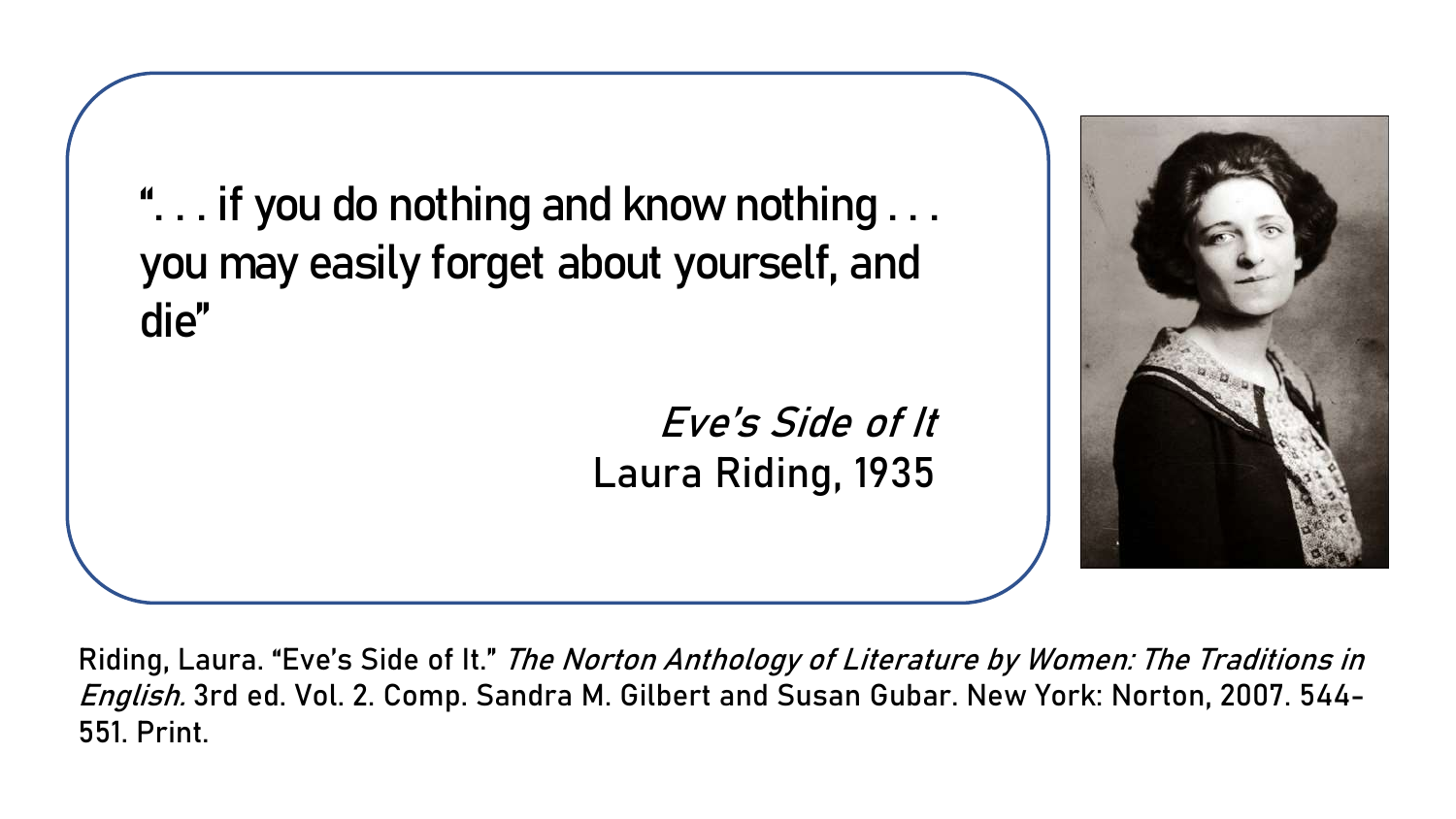". . . if you do nothing and know nothing . . . you may easily forget about yourself, and die"

> Eve's Side of It Laura Riding, 1935



Riding, Laura. "Eve's Side of It." The Norton Anthology of Literature by Women: The Traditions in English. 3rd ed. Vol. 2. Comp. Sandra M. Gilbert and Susan Gubar. New York: Norton, 2007. 544-551. Print.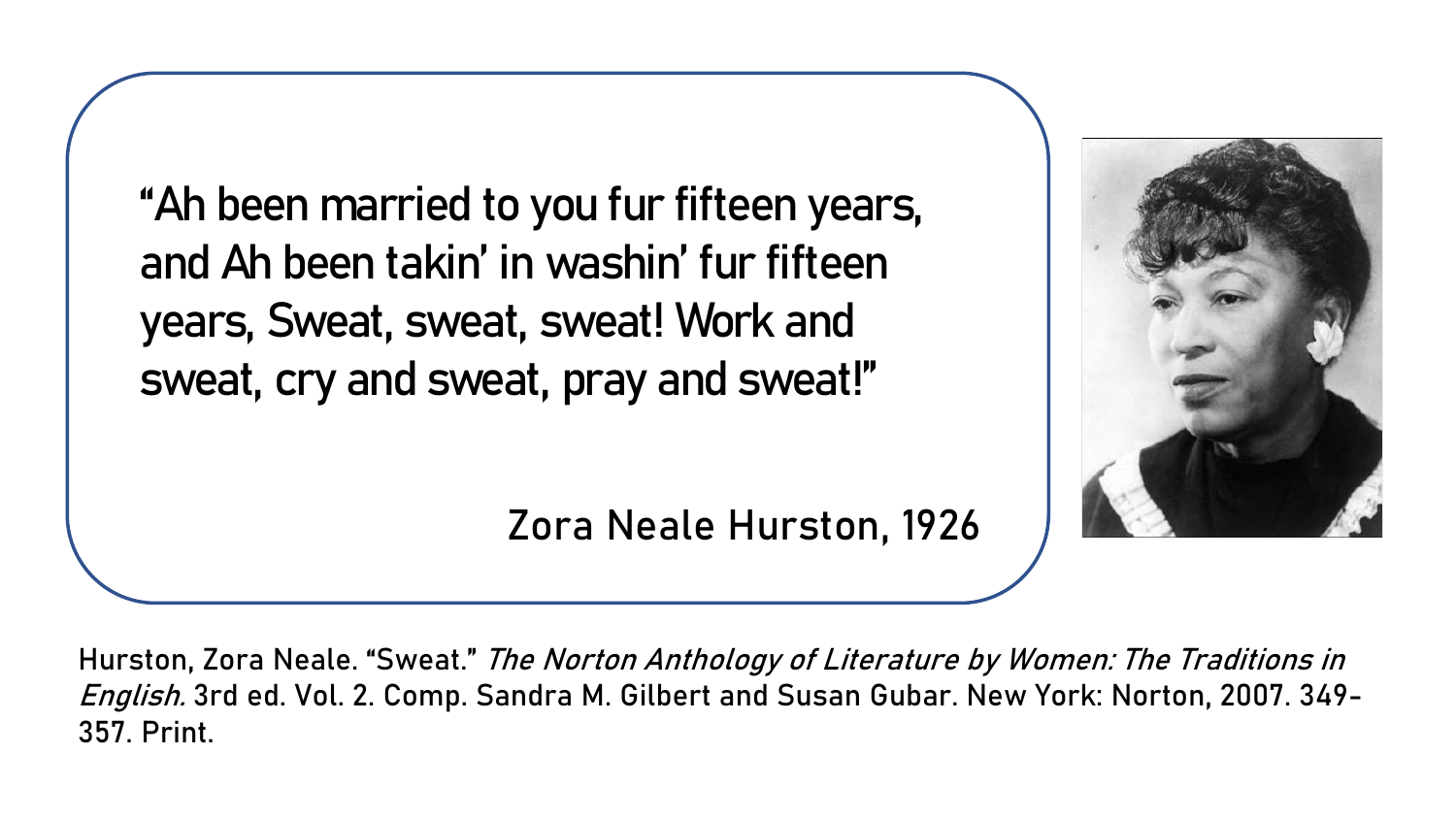"Ah been married to you fur fifteen years, and Ah been takin' in washin' fur fifteen years, Sweat, sweat, sweat! Work and sweat, cry and sweat, pray and sweat!"

Zora Neale Hurston, 1926

Hurston, Zora Neale. "Sweat." The Norton Anthology of Literature by Women: The Traditions in English. 3rd ed. Vol. 2. Comp. Sandra M. Gilbert and Susan Gubar. New York: Norton, 2007. 349-357. Print.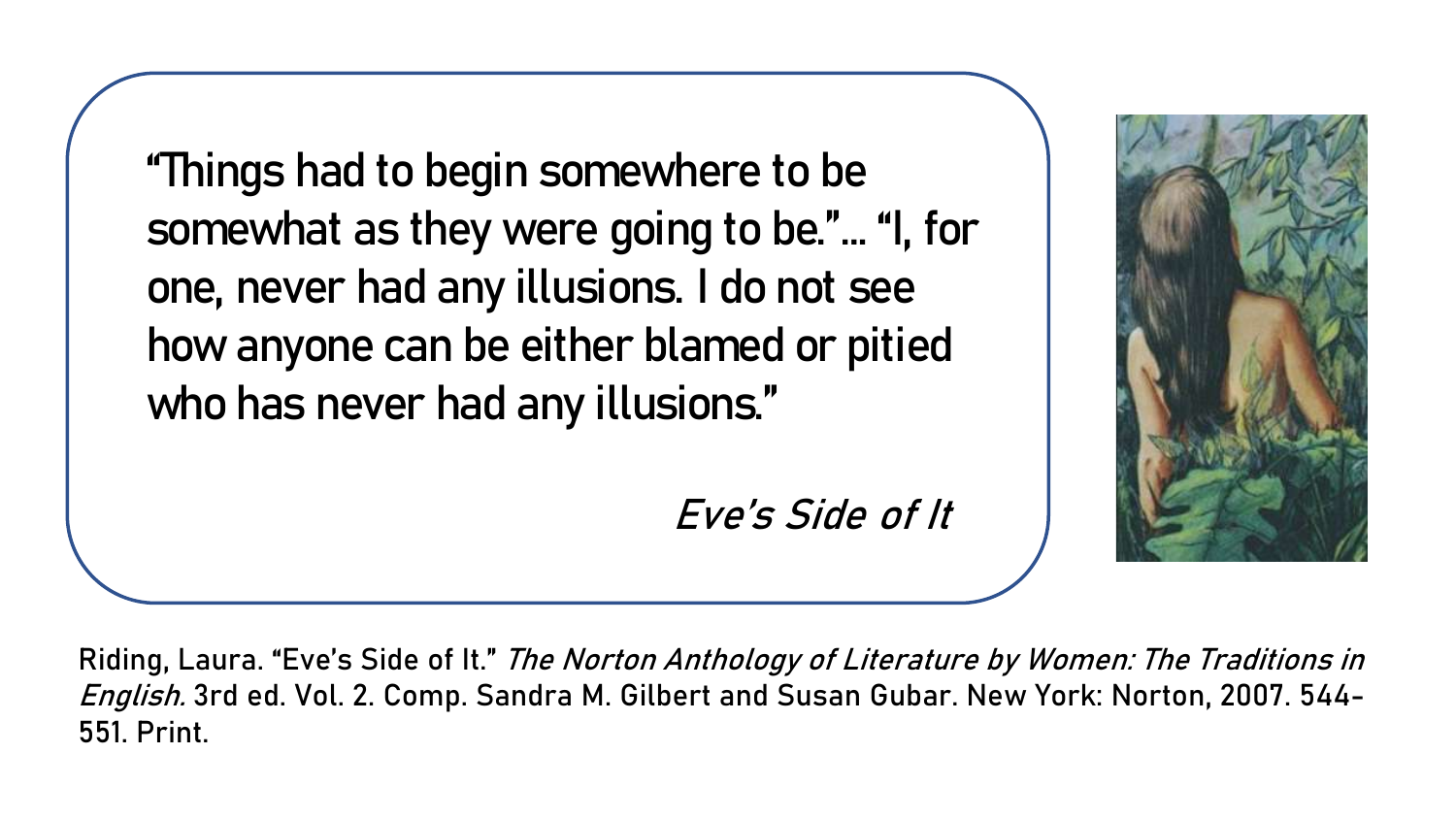"Things had to begin somewhere to be somewhat as they were going to be."… "I, for one, never had any illusions. I do not see how anyone can be either blamed or pitied who has never had any illusions."

Eve's Side of It



Riding, Laura. "Eve's Side of It." The Norton Anthology of Literature by Women: The Traditions in English. 3rd ed. Vol. 2. Comp. Sandra M. Gilbert and Susan Gubar. New York: Norton, 2007. 544-551. Print.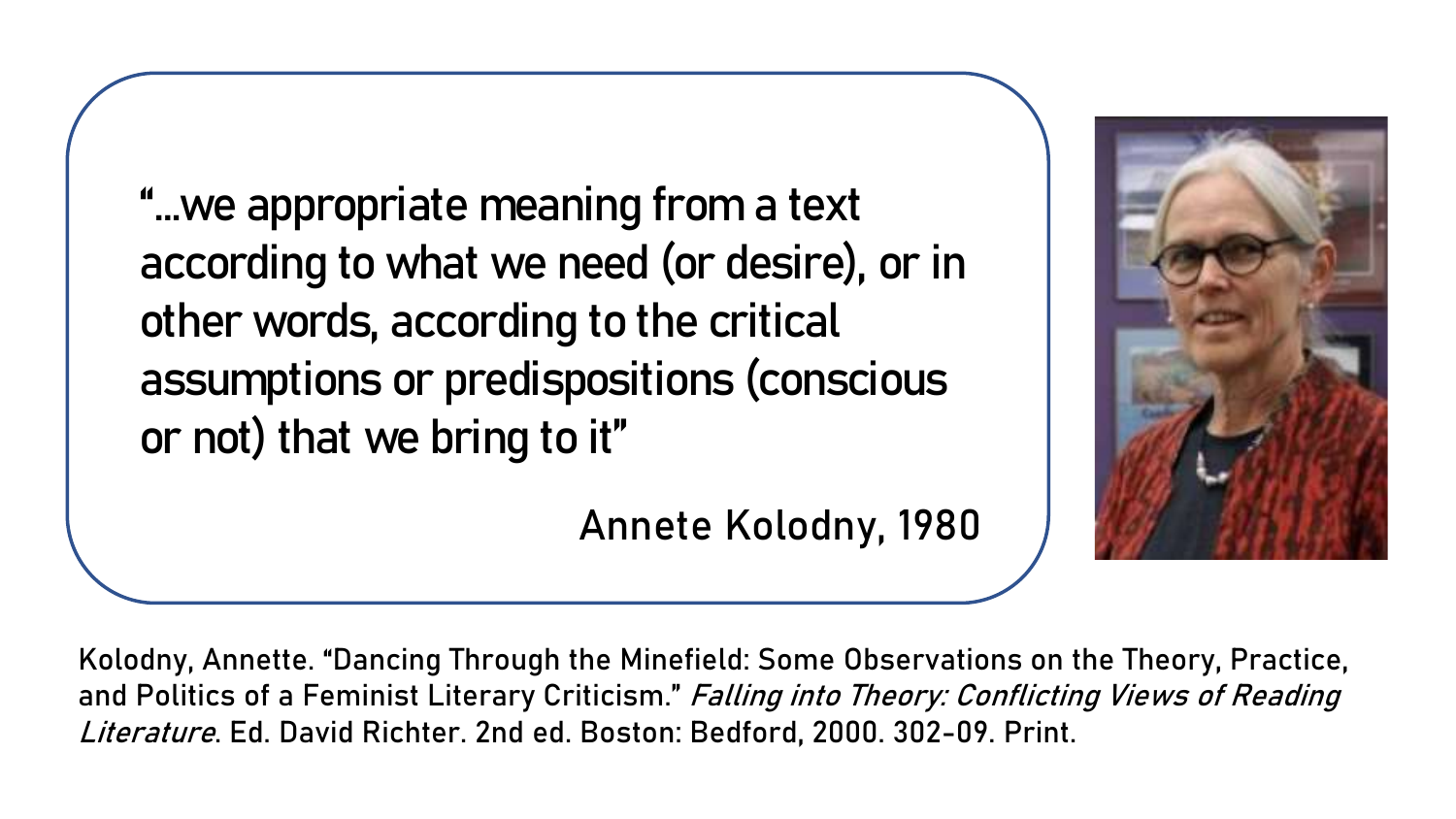"…we appropriate meaning from a text according to what we need (or desire), or in other words, according to the critical assumptions or predispositions (conscious or not) that we bring to it"

Annete Kolodny, 1980



Kolodny, Annette. "Dancing Through the Minefield: Some Observations on the Theory, Practice, and Politics of a Feminist Literary Criticism." Falling into Theory: Conflicting Views of Reading Literature. Ed. David Richter. 2nd ed. Boston: Bedford, 2000. 302-09. Print.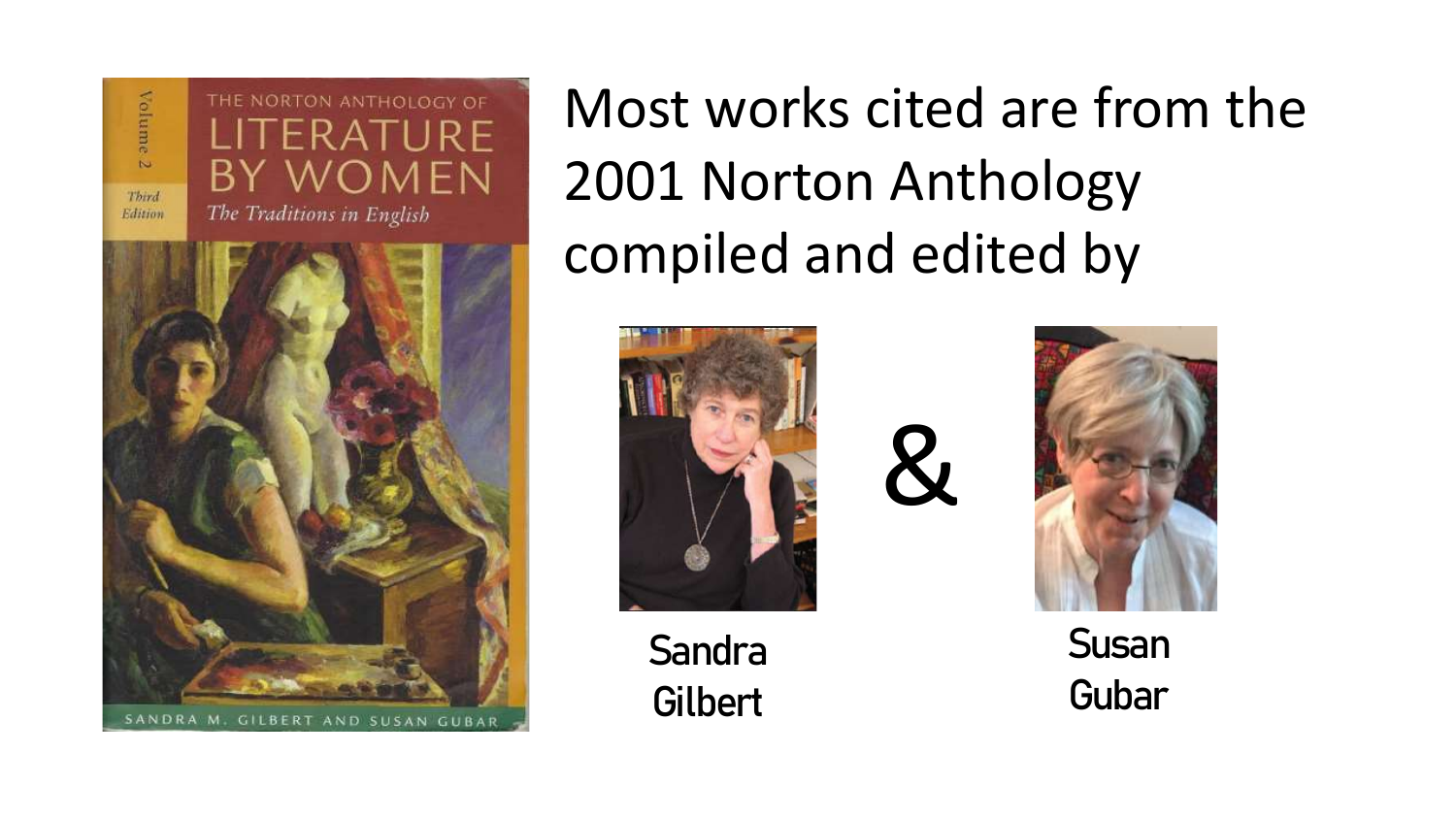Volume  $\sim$ Third Edition





Most works cited are from the 2001 Norton Anthology compiled and edited by

 $\mathcal{X}$ 



Sandra **Gilbert** 



Susan Gubar